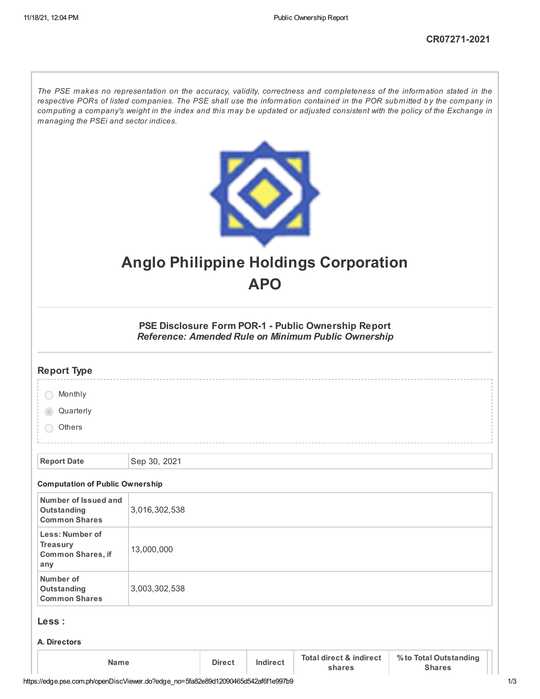The PSE makes no representation on the accuracy, validity, correctness and completeness of the information stated in the respective PORs of listed companies. The PSE shall use the information contained in the POR submitted by the company in computing a company's weight in the index and this may be updated or adjusted consistent with the policy of the Exchange in *managing the PSEi and sector indices.*



# **Anglo Philippine Holdings Corporation APO**

**PSE Disclosure Form POR-1 - Public Ownership Report** *Reference: Amended Rule on Minimum Public Ownership*

| <b>Report Type</b>                                          |               |               |          |                                              |                                         |
|-------------------------------------------------------------|---------------|---------------|----------|----------------------------------------------|-----------------------------------------|
| Monthly                                                     |               |               |          |                                              |                                         |
| Quarterly                                                   |               |               |          |                                              |                                         |
| Others                                                      |               |               |          |                                              |                                         |
|                                                             |               |               |          |                                              |                                         |
| <b>Report Date</b>                                          | Sep 30, 2021  |               |          |                                              |                                         |
| <b>Computation of Public Ownership</b>                      |               |               |          |                                              |                                         |
| Number of Issued and<br>Outstanding<br><b>Common Shares</b> | 3,016,302,538 |               |          |                                              |                                         |
| Less: Number of<br>Treasury<br>Common Shares, if<br>any     | 13,000,000    |               |          |                                              |                                         |
| Number of<br>Outstanding<br><b>Common Shares</b>            | 3,003,302,538 |               |          |                                              |                                         |
| Less :                                                      |               |               |          |                                              |                                         |
| A. Directors                                                |               |               |          |                                              |                                         |
| <b>Name</b>                                                 |               | <b>Direct</b> | Indirect | <b>Total direct &amp; indirect</b><br>shares | % to Total Outstanding<br><b>Shares</b> |

https://edge.pse.com.ph/openDiscViewer.do?edge\_no=5fa82e89d12090465d542af6f1e997b9 1/3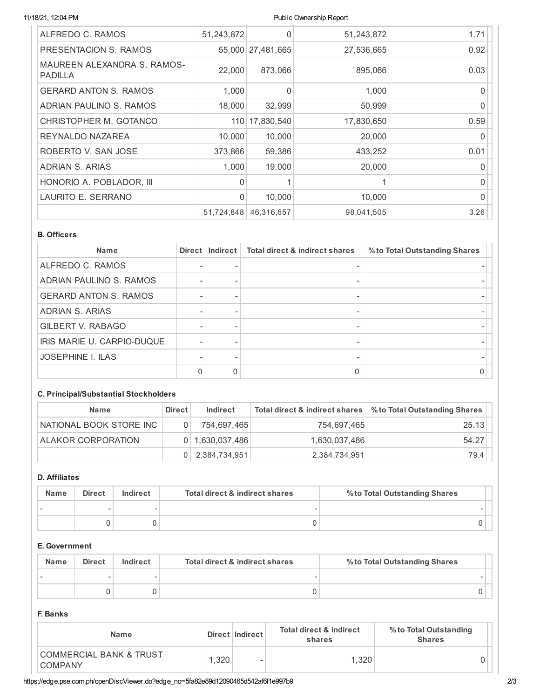## 11/18/21, 12:04 PM Public Ownership Report

| ALFREDO C. RAMOS                              | 51,243,872   | 0                 | 51,243,872 | 1.71         |
|-----------------------------------------------|--------------|-------------------|------------|--------------|
| PRESENTACION S. RAMOS                         |              | 55,000 27,481,665 | 27,536,665 | 0.92         |
| MAUREEN ALEXANDRA S. RAMOS-<br><b>PADILLA</b> | 22,000       | 873,066           | 895,066    | 0.03         |
| <b>GERARD ANTON S. RAMOS</b>                  | 1,000        | $\Omega$          | 1,000      | 0            |
| ADRIAN PAULINO S. RAMOS                       | 18,000       | 32,999            | 50,999     | $\Omega$     |
| CHRISTOPHER M. GOTANCO                        | 110          | 17,830,540        | 17,830,650 | 0.59         |
| REYNALDO NAZAREA                              | 10,000       | 10,000            | 20,000     | <sup>0</sup> |
| ROBERTO V. SAN JOSE                           | 373,866      | 59,386            | 433,252    | 0.01         |
| ADRIAN S. ARIAS                               | 1,000        | 19,000            | 20,000     | $\Omega$     |
| HONORIO A. POBLADOR, III                      | $\Omega$     |                   |            | $\Omega$     |
| LAURITO E. SERRANO                            | $\mathbf{0}$ | 10,000            | 10,000     | $\Omega$     |
|                                               | 51,724,848   | 46,316,657        | 98,041,505 | 3.26         |

## **B. Officers**

| <b>Name</b>                  | <b>Direct</b> | Indirect | <b>Total direct &amp; indirect shares</b> | % to Total Outstanding Shares |
|------------------------------|---------------|----------|-------------------------------------------|-------------------------------|
| ALFREDO C. RAMOS             |               |          |                                           |                               |
| ADRIAN PAULINO S. RAMOS      |               |          |                                           |                               |
| <b>GERARD ANTON S. RAMOS</b> |               |          |                                           |                               |
| <b>ADRIAN S. ARIAS</b>       |               |          |                                           |                               |
| GILBERT V. RABAGO            |               |          |                                           |                               |
| IRIS MARIE U. CARPIO-DUQUE   |               |          |                                           |                               |
| <b>JOSEPHINE I. ILAS</b>     |               |          |                                           |                               |
|                              |               | 0        |                                           |                               |

# **C. Principal/Substantial Stockholders**

| <b>Name</b>               | <b>Direct</b> | <b>Indirect</b>     | Total direct & indirect shares | % to Total Outstanding Shares |
|---------------------------|---------------|---------------------|--------------------------------|-------------------------------|
| NATIONAL BOOK STORE INC   | 0             | 754.697.465         | 754.697.465                    | 25.13                         |
| <b>ALAKOR CORPORATION</b> |               | $0$   1,630,037,486 | 1,630,037,486                  | 54.27                         |
|                           | 0             | 2,384,734,951       | 2,384,734,951                  | 79.4                          |

# **D. Affiliates**

| <b>Name</b> | <b>Direct</b> | Indirect | Total direct & indirect shares | % to Total Outstanding Shares |  |
|-------------|---------------|----------|--------------------------------|-------------------------------|--|
|             |               |          |                                |                               |  |
|             |               |          |                                |                               |  |

# **E. Government**

| <b>Name</b> | <b>Direct</b> | Indirect | Total direct & indirect shares | % to Total Outstanding Shares |  |
|-------------|---------------|----------|--------------------------------|-------------------------------|--|
|             |               |          |                                |                               |  |
|             |               |          |                                |                               |  |

## **F. Banks**

| Name                                                 |  | Direct   Indirect | <b>Total direct &amp; indirect</b><br>shares | % to Total Outstanding<br><b>Shares</b> |
|------------------------------------------------------|--|-------------------|----------------------------------------------|-----------------------------------------|
| <b>COMMERCIAL BANK &amp; TRUST</b><br><b>COMPANY</b> |  | .320<br>-         | 1.320                                        |                                         |